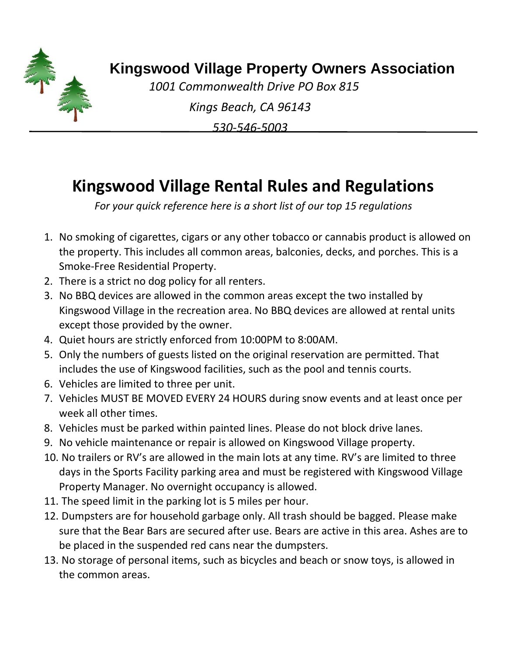

## **Kingswood Village Property Owners Association**

*1001 Commonwealth Drive PO Box 815* 

*Kings Beach, CA 96143*

*530-546-5003*

## **Kingswood Village Rental Rules and Regulations**

*For your quick reference here is a short list of our top 15 regulations* 

- 1. No smoking of cigarettes, cigars or any other tobacco or cannabis product is allowed on the property. This includes all common areas, balconies, decks, and porches. This is a Smoke-Free Residential Property.
- 2. There is a strict no dog policy for all renters.
- 3. No BBQ devices are allowed in the common areas except the two installed by Kingswood Village in the recreation area. No BBQ devices are allowed at rental units except those provided by the owner.
- 4. Quiet hours are strictly enforced from 10:00PM to 8:00AM.
- 5. Only the numbers of guests listed on the original reservation are permitted. That includes the use of Kingswood facilities, such as the pool and tennis courts.
- 6. Vehicles are limited to three per unit.
- 7. Vehicles MUST BE MOVED EVERY 24 HOURS during snow events and at least once per week all other times.
- 8. Vehicles must be parked within painted lines. Please do not block drive lanes.
- 9. No vehicle maintenance or repair is allowed on Kingswood Village property.
- 10. No trailers or RV's are allowed in the main lots at any time. RV's are limited to three days in the Sports Facility parking area and must be registered with Kingswood Village Property Manager. No overnight occupancy is allowed.
- 11. The speed limit in the parking lot is 5 miles per hour.
- 12. Dumpsters are for household garbage only. All trash should be bagged. Please make sure that the Bear Bars are secured after use. Bears are active in this area. Ashes are to be placed in the suspended red cans near the dumpsters.
- 13. No storage of personal items, such as bicycles and beach or snow toys, is allowed in the common areas.